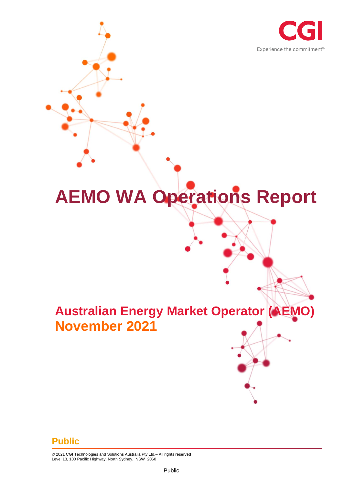

# **AEMO WA Operations Report**

# **Australian Energy Market Operator (AEMO) November 2021**

#### **Public**

© 2021 CGI Technologies and Solutions Australia Pty Ltd.– All rights reserved Level 13, 100 Pacific Highway, North Sydney. NSW 2060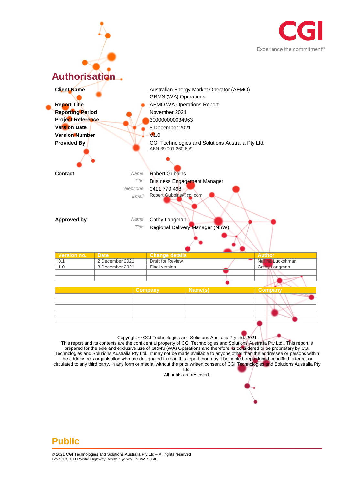



This report and its contents are the confidential property of CGI Technologies and Solutions Australia Pty Ltd.. This report is prepared for the sole and exclusive use of GRMS (WA) Operations and therefore, is considered to be proprietary by CGI Technologies and Solutions Australia Pty Ltd.. It may not be made available to anyone other than the addressee or persons within the addressee's organisation who are designated to read this report; nor may it be copied, reproduced, modified, altered, or circulated to any third party, in any form or media, without the prior written consent of CGI Technologies and Solutions Australia Pty Ltd.

All rights are reserved.

#### **Public**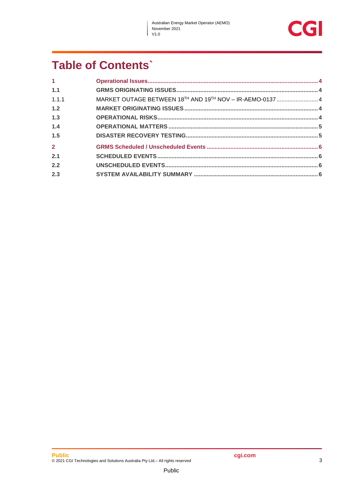$\overline{\phantom{a}}$ 

## **Table of Contents`**

| 1 <sup>1</sup> |                                                           |  |
|----------------|-----------------------------------------------------------|--|
| 1.1            |                                                           |  |
| 1.1.1          | MARKET OUTAGE BETWEEN 18TH AND 19TH NOV - IR-AEMO-0137  4 |  |
| 1.2            |                                                           |  |
| 1.3            |                                                           |  |
| 1.4            |                                                           |  |
| 1.5            |                                                           |  |
| $\overline{2}$ |                                                           |  |
| 2.1            |                                                           |  |
| 2.2            |                                                           |  |
| 2.3            |                                                           |  |
|                |                                                           |  |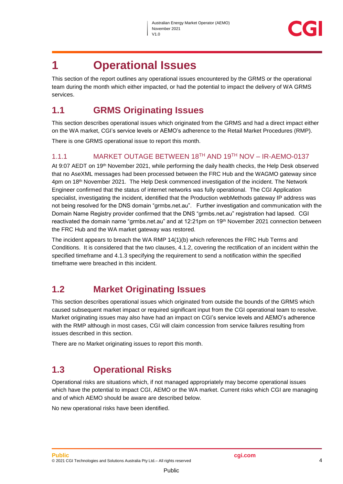## <span id="page-3-0"></span>**1 Operational Issues**

This section of the report outlines any operational issues encountered by the GRMS or the operational team during the month which either impacted, or had the potential to impact the delivery of WA GRMS services.

## <span id="page-3-1"></span>**1.1 GRMS Originating Issues**

This section describes operational issues which originated from the GRMS and had a direct impact either on the WA market, CGI's service levels or AEMO's adherence to the Retail Market Procedures (RMP).

There is one GRMS operational issue to report this month.

#### <span id="page-3-2"></span>1.1.1 MARKET OUTAGE BETWEEN 18TH AND 19TH NOV – IR-AEMO-0137

At 9:07 AEDT on 19th November 2021, while performing the daily health checks, the Help Desk observed that no AseXML messages had been processed between the FRC Hub and the WAGMO gateway since 4pm on 18th November 2021. The Help Desk commenced investigation of the incident. The Network Engineer confirmed that the status of internet networks was fully operational. The CGI Application specialist, investigating the incident, identified that the Production webMethods gateway IP address was not being resolved for the DNS domain "grmbs.net.au". Further investigation and communication with the Domain Name Registry provider confirmed that the DNS "grmbs.net.au" registration had lapsed. CGI reactivated the domain name "grmbs.net.au" and at 12:21pm on 19th November 2021 connection between the FRC Hub and the WA market gateway was restored.

The incident appears to breach the WA RMP 14(1)(b) which references the FRC Hub Terms and Conditions. It is considered that the two clauses, 4.1.2, covering the rectification of an incident within the specified timeframe and 4.1.3 specifying the requirement to send a notification within the specified timeframe were breached in this incident.

## <span id="page-3-3"></span>**1.2 Market Originating Issues**

This section describes operational issues which originated from outside the bounds of the GRMS which caused subsequent market impact or required significant input from the CGI operational team to resolve. Market originating issues may also have had an impact on CGI's service levels and AEMO's adherence with the RMP although in most cases, CGI will claim concession from service failures resulting from issues described in this section.

There are no Market originating issues to report this month.

#### <span id="page-3-4"></span>**1.3 Operational Risks**

Operational risks are situations which, if not managed appropriately may become operational issues which have the potential to impact CGI, AEMO or the WA market. Current risks which CGI are managing and of which AEMO should be aware are described below.

Public

No new operational risks have been identified.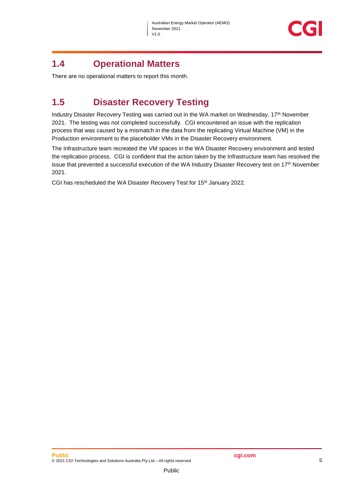#### <span id="page-4-0"></span>**1.4 Operational Matters**

There are no operational matters to report this month.

## <span id="page-4-1"></span>**1.5 Disaster Recovery Testing**

Industry Disaster Recovery Testing was carried out in the WA market on Wednesday, 17<sup>th</sup> November 2021. The testing was not completed successfully. CGI encountered an issue with the replication process that was caused by a mismatch in the data from the replicating Virtual Machine (VM) in the Production environment to the placeholder VMs in the Disaster Recovery environment.

The Infrastructure team recreated the VM spaces in the WA Disaster Recovery environment and tested the replication process. CGI is confident that the action taken by the Infrastructure team has resolved the issue that prevented a successful execution of the WA Industry Disaster Recovery test on 17<sup>th</sup> November 2021.

CGI has rescheduled the WA Disaster Recovery Test for 15<sup>th</sup> January 2022.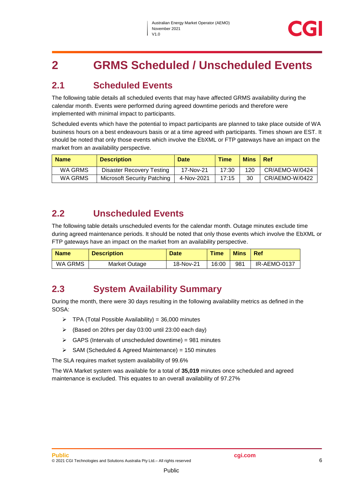## <span id="page-5-0"></span>**2 GRMS Scheduled / Unscheduled Events**

## <span id="page-5-1"></span>**2.1 Scheduled Events**

The following table details all scheduled events that may have affected GRMS availability during the calendar month. Events were performed during agreed downtime periods and therefore were implemented with minimal impact to participants.

Scheduled events which have the potential to impact participants are planned to take place outside of WA business hours on a best endeavours basis or at a time agreed with participants. Times shown are EST. It should be noted that only those events which involve the EbXML or FTP gateways have an impact on the market from an availability perspective.

| <b>Name</b> | <b>Description</b>                 | <b>Date</b> | <b>Time</b> | <b>Mins</b> | <b>Ref</b>     |
|-------------|------------------------------------|-------------|-------------|-------------|----------------|
| WA GRMS     | Disaster Recovery Testing          | 17-Nov-21   | 17:30       | 120         | CR/AEMO-W/0424 |
| WA GRMS     | <b>Microsoft Security Patching</b> | 4-Nov-2021  | 17:15       | 30          | CR/AEMO-W/0422 |

#### <span id="page-5-2"></span>**2.2 Unscheduled Events**

The following table details unscheduled events for the calendar month. Outage minutes exclude time during agreed maintenance periods. It should be noted that only those events which involve the EbXML or FTP gateways have an impact on the market from an availability perspective.

| <b>Name</b> | <b>Description</b> | <b>Date</b> | <b>Time</b> | <b>Mins</b> | Ref          |
|-------------|--------------------|-------------|-------------|-------------|--------------|
| WA GRMS     | Market Outage      | 18-Nov-21   | 16:00       | 981         | IR-AEMO-0137 |

#### <span id="page-5-3"></span>**2.3 System Availability Summary**

During the month, there were 30 days resulting in the following availability metrics as defined in the SOSA:

- $\triangleright$  TPA (Total Possible Availability) = 36,000 minutes
- (Based on 20hrs per day 03:00 until 23:00 each day)
- $\triangleright$  GAPS (Intervals of unscheduled downtime) = 981 minutes
- $\triangleright$  SAM (Scheduled & Agreed Maintenance) = 150 minutes

The SLA requires market system availability of 99.6%

The WA Market system was available for a total of **35,019** minutes once scheduled and agreed maintenance is excluded. This equates to an overall availability of 97.27%